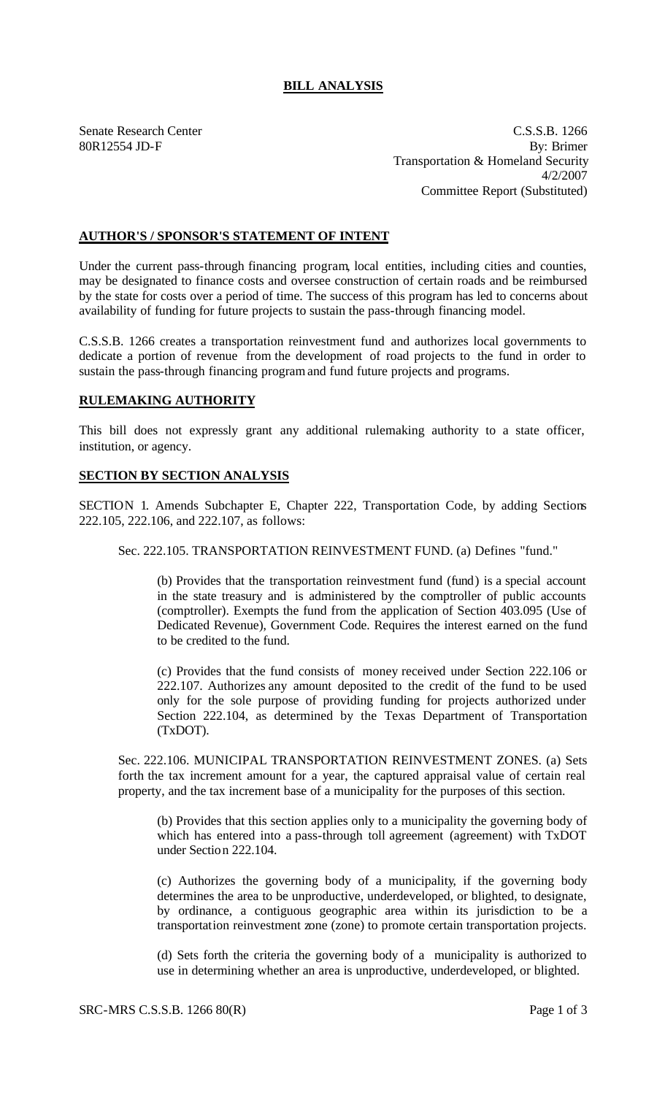## **BILL ANALYSIS**

Senate Research Center C.S.S.B. 1266 80R12554 JD-F By: Brimer Transportation & Homeland Security 4/2/2007 Committee Report (Substituted)

## **AUTHOR'S / SPONSOR'S STATEMENT OF INTENT**

Under the current pass-through financing program, local entities, including cities and counties, may be designated to finance costs and oversee construction of certain roads and be reimbursed by the state for costs over a period of time. The success of this program has led to concerns about availability of funding for future projects to sustain the pass-through financing model.

C.S.S.B. 1266 creates a transportation reinvestment fund and authorizes local governments to dedicate a portion of revenue from the development of road projects to the fund in order to sustain the pass-through financing program and fund future projects and programs.

## **RULEMAKING AUTHORITY**

This bill does not expressly grant any additional rulemaking authority to a state officer, institution, or agency.

## **SECTION BY SECTION ANALYSIS**

SECTION 1. Amends Subchapter E, Chapter 222, Transportation Code, by adding Sections 222.105, 222.106, and 222.107, as follows:

Sec. 222.105. TRANSPORTATION REINVESTMENT FUND. (a) Defines "fund."

(b) Provides that the transportation reinvestment fund (fund) is a special account in the state treasury and is administered by the comptroller of public accounts (comptroller). Exempts the fund from the application of Section 403.095 (Use of Dedicated Revenue), Government Code. Requires the interest earned on the fund to be credited to the fund.

(c) Provides that the fund consists of money received under Section 222.106 or 222.107. Authorizes any amount deposited to the credit of the fund to be used only for the sole purpose of providing funding for projects authorized under Section 222.104, as determined by the Texas Department of Transportation (TxDOT).

Sec. 222.106. MUNICIPAL TRANSPORTATION REINVESTMENT ZONES. (a) Sets forth the tax increment amount for a year, the captured appraisal value of certain real property, and the tax increment base of a municipality for the purposes of this section.

(b) Provides that this section applies only to a municipality the governing body of which has entered into a pass-through toll agreement (agreement) with TxDOT under Section 222.104.

(c) Authorizes the governing body of a municipality, if the governing body determines the area to be unproductive, underdeveloped, or blighted, to designate, by ordinance, a contiguous geographic area within its jurisdiction to be a transportation reinvestment zone (zone) to promote certain transportation projects.

(d) Sets forth the criteria the governing body of a municipality is authorized to use in determining whether an area is unproductive, underdeveloped, or blighted.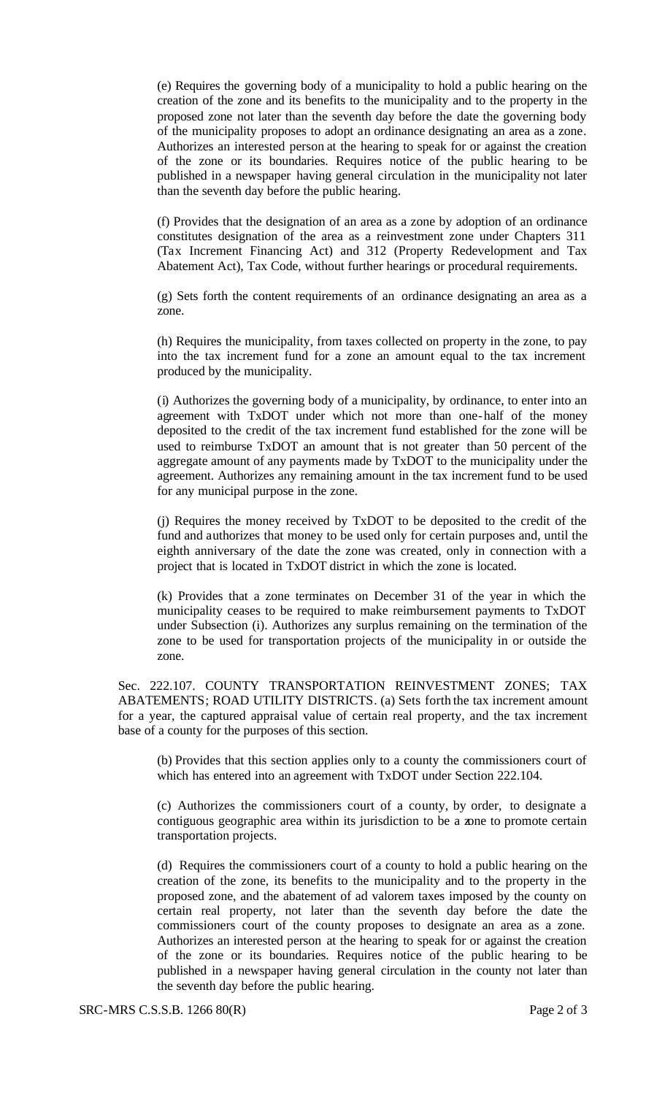(e) Requires the governing body of a municipality to hold a public hearing on the creation of the zone and its benefits to the municipality and to the property in the proposed zone not later than the seventh day before the date the governing body of the municipality proposes to adopt an ordinance designating an area as a zone. Authorizes an interested person at the hearing to speak for or against the creation of the zone or its boundaries. Requires notice of the public hearing to be published in a newspaper having general circulation in the municipality not later than the seventh day before the public hearing.

(f) Provides that the designation of an area as a zone by adoption of an ordinance constitutes designation of the area as a reinvestment zone under Chapters 311 (Tax Increment Financing Act) and 312 (Property Redevelopment and Tax Abatement Act), Tax Code, without further hearings or procedural requirements.

(g) Sets forth the content requirements of an ordinance designating an area as a zone.

(h) Requires the municipality, from taxes collected on property in the zone, to pay into the tax increment fund for a zone an amount equal to the tax increment produced by the municipality.

(i) Authorizes the governing body of a municipality, by ordinance, to enter into an agreement with TxDOT under which not more than one-half of the money deposited to the credit of the tax increment fund established for the zone will be used to reimburse TxDOT an amount that is not greater than 50 percent of the aggregate amount of any payments made by TxDOT to the municipality under the agreement. Authorizes any remaining amount in the tax increment fund to be used for any municipal purpose in the zone.

(j) Requires the money received by TxDOT to be deposited to the credit of the fund and authorizes that money to be used only for certain purposes and, until the eighth anniversary of the date the zone was created, only in connection with a project that is located in TxDOT district in which the zone is located.

(k) Provides that a zone terminates on December 31 of the year in which the municipality ceases to be required to make reimbursement payments to TxDOT under Subsection (i). Authorizes any surplus remaining on the termination of the zone to be used for transportation projects of the municipality in or outside the zone.

Sec. 222.107. COUNTY TRANSPORTATION REINVESTMENT ZONES; TAX ABATEMENTS; ROAD UTILITY DISTRICTS. (a) Sets forth the tax increment amount for a year, the captured appraisal value of certain real property, and the tax increment base of a county for the purposes of this section.

(b) Provides that this section applies only to a county the commissioners court of which has entered into an agreement with TxDOT under Section 222.104.

(c) Authorizes the commissioners court of a county, by order, to designate a contiguous geographic area within its jurisdiction to be a zone to promote certain transportation projects.

(d) Requires the commissioners court of a county to hold a public hearing on the creation of the zone, its benefits to the municipality and to the property in the proposed zone, and the abatement of ad valorem taxes imposed by the county on certain real property, not later than the seventh day before the date the commissioners court of the county proposes to designate an area as a zone. Authorizes an interested person at the hearing to speak for or against the creation of the zone or its boundaries. Requires notice of the public hearing to be published in a newspaper having general circulation in the county not later than the seventh day before the public hearing.